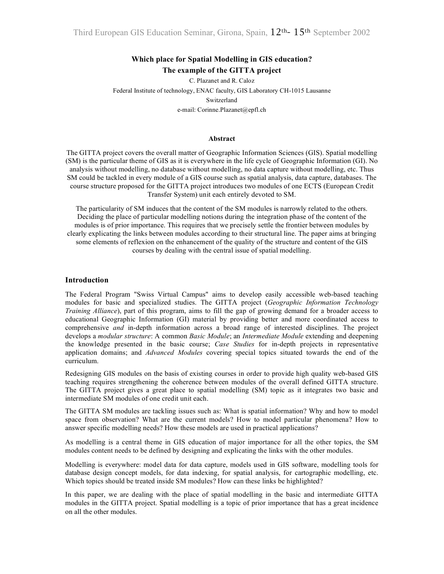# **Which place for Spatial Modelling in GIS education? The example of the GITTA project**

C. Plazanet and R. Caloz Federal Institute of technology, ENAC faculty, GIS Laboratory CH-1015 Lausanne Switzerland e-mail: Corinne.Plazanet@epfl.ch

### **Abstract**

The GITTA project covers the overall matter of Geographic Information Sciences (GIS). Spatial modelling (SM) is the particular theme of GIS as it is everywhere in the life cycle of Geographic Information (GI). No analysis without modelling, no database without modelling, no data capture without modelling, etc. Thus SM could be tackled in every module of a GIS course such as spatial analysis, data capture, databases. The course structure proposed for the GITTA project introduces two modules of one ECTS (European Credit Transfer System) unit each entirely devoted to SM.

The particularity of SM induces that the content of the SM modules is narrowly related to the others. Deciding the place of particular modelling notions during the integration phase of the content of the modules is of prior importance. This requires that we precisely settle the frontier between modules by clearly explicating the links between modules according to their structural line. The paper aims at bringing some elements of reflexion on the enhancement of the quality of the structure and content of the GIS courses by dealing with the central issue of spatial modelling.

### **Introduction**

The Federal Program "Swiss Virtual Campus" aims to develop easily accessible web-based teaching modules for basic and specialized studies. The GITTA project (*Geographic Information Technology Training Alliance*), part of this program, aims to fill the gap of growing demand for a broader access to educational Geographic Information (GI) material by providing better and more coordinated access to comprehensive *and* in-depth information across a broad range of interested disciplines. The project develops a *modular structure*: A common *Basic Module*; an *Intermediate Module* extending and deepening the knowledge presented in the basic course; *Case Studies* for in-depth projects in representative application domains; and *Advanced Modules* covering special topics situated towards the end of the curriculum.

Redesigning GIS modules on the basis of existing courses in order to provide high quality web-based GIS teaching requires strengthening the coherence between modules of the overall defined GITTA structure. The GITTA project gives a great place to spatial modelling (SM) topic as it integrates two basic and intermediate SM modules of one credit unit each.

The GITTA SM modules are tackling issues such as: What is spatial information? Why and how to model space from observation? What are the current models? How to model particular phenomena? How to answer specific modelling needs? How these models are used in practical applications?

As modelling is a central theme in GIS education of major importance for all the other topics, the SM modules content needs to be defined by designing and explicating the links with the other modules.

Modelling is everywhere: model data for data capture, models used in GIS software, modelling tools for database design concept models, for data indexing, for spatial analysis, for cartographic modelling, etc. Which topics should be treated inside SM modules? How can these links be highlighted?

In this paper, we are dealing with the place of spatial modelling in the basic and intermediate GITTA modules in the GITTA project. Spatial modelling is a topic of prior importance that has a great incidence on all the other modules.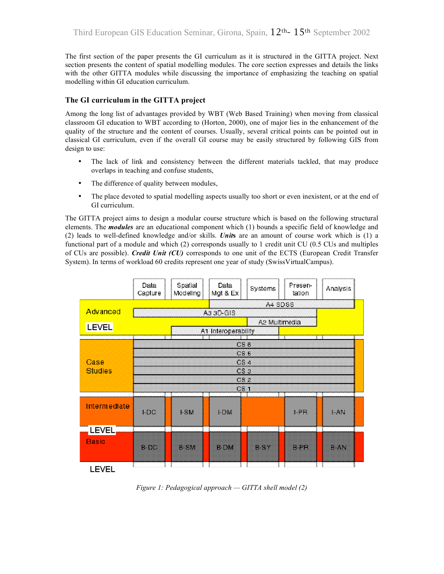The first section of the paper presents the GI curriculum as it is structured in the GITTA project. Next section presents the content of spatial modelling modules. The core section expresses and details the links with the other GITTA modules while discussing the importance of emphasizing the teaching on spatial modelling within GI education curriculum.

# **The GI curriculum in the GITTA project**

Among the long list of advantages provided by WBT (Web Based Training) when moving from classical classroom GI education to WBT according to (Horton, 2000), one of major lies in the enhancement of the quality of the structure and the content of courses. Usually, several critical points can be pointed out in classical GI curriculum, even if the overall GI course may be easily structured by following GIS from design to use:

- The lack of link and consistency between the different materials tackled, that may produce overlaps in teaching and confuse students,
- The difference of quality between modules,
- The place devoted to spatial modelling aspects usually too short or even inexistent, or at the end of GI curriculum.

The GITTA project aims to design a modular course structure which is based on the following structural elements. The *modules* are an educational component which (1) bounds a specific field of knowledge and (2) leads to well-defined knowledge and/or skills. *Unit***s** are an amount of course work which is (1) a functional part of a module and which (2) corresponds usually to 1 credit unit CU (0.5 CUs and multiples of CUs are possible). *Credit Unit (CU)* corresponds to one unit of the ECTS (European Credit Transfer System). In terms of workload 60 credits represent one year of study (SwissVirtualCampus).



*Figure 1: Pedagogical approach — GITTA shell model (2)*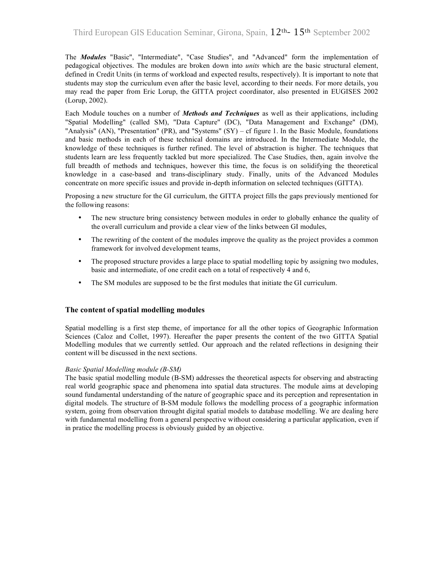The *Modules* "Basic", "Intermediate", "Case Studies", and "Advanced" form the implementation of pedagogical objectives. The modules are broken down into *units* which are the basic structural element, defined in Credit Units (in terms of workload and expected results, respectively). It is important to note that students may stop the curriculum even after the basic level, according to their needs. For more details, you may read the paper from Eric Lorup, the GITTA project coordinator, also presented in EUGISES 2002 (Lorup, 2002).

Each Module touches on a number of *Methods and Techniques* as well as their applications, including "Spatial Modelling" (called SM), "Data Capture" (DC), "Data Management and Exchange" (DM), "Analysis" (AN), "Presentation" (PR), and "Systems" (SY) – cf figure 1. In the Basic Module, foundations and basic methods in each of these technical domains are introduced. In the Intermediate Module, the knowledge of these techniques is further refined. The level of abstraction is higher. The techniques that students learn are less frequently tackled but more specialized. The Case Studies, then, again involve the full breadth of methods and techniques, however this time, the focus is on solidifying the theoretical knowledge in a case-based and trans-disciplinary study. Finally, units of the Advanced Modules concentrate on more specific issues and provide in-depth information on selected techniques (GITTA).

Proposing a new structure for the GI curriculum, the GITTA project fills the gaps previously mentioned for the following reasons:

- The new structure bring consistency between modules in order to globally enhance the quality of the overall curriculum and provide a clear view of the links between GI modules,
- The rewriting of the content of the modules improve the quality as the project provides a common framework for involved development teams,
- The proposed structure provides a large place to spatial modelling topic by assigning two modules, basic and intermediate, of one credit each on a total of respectively 4 and 6,
- The SM modules are supposed to be the first modules that initiate the GI curriculum.

### **The content of spatial modelling modules**

Spatial modelling is a first step theme, of importance for all the other topics of Geographic Information Sciences (Caloz and Collet, 1997). Hereafter the paper presents the content of the two GITTA Spatial Modelling modules that we currently settled. Our approach and the related reflections in designing their content will be discussed in the next sections.

#### *Basic Spatial Modelling module (B-SM)*

The basic spatial modelling module (B-SM) addresses the theoretical aspects for observing and abstracting real world geographic space and phenomena into spatial data structures. The module aims at developing sound fundamental understanding of the nature of geographic space and its perception and representation in digital models. The structure of B-SM module follows the modelling process of a geographic information system, going from observation throught digital spatial models to database modelling. We are dealing here with fundamental modelling from a general perspective without considering a particular application, even if in pratice the modelling process is obviously guided by an objective.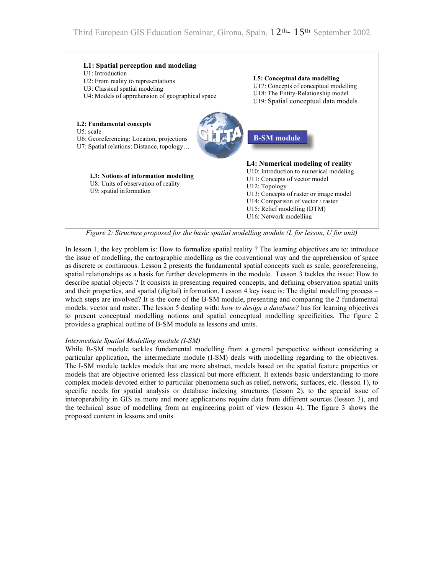

*Figure 2: Structure proposed for the basic spatial modelling module (L for lesson, U for unit)*

In lesson 1, the key problem is: How to formalize spatial reality ? The learning objectives are to: introduce the issue of modelling, the cartographic modelling as the conventional way and the apprehension of space as discrete or continuous. Lesson 2 presents the fundamental spatial concepts such as scale, georeferencing, spatial relationships as a basis for further developments in the module. Lesson 3 tackles the issue: How to describe spatial objects ? It consists in presenting required concepts, and defining observation spatial units and their properties, and spatial (digital) information. Lesson 4 key issue is: The digital modelling process – which steps are involved? It is the core of the B-SM module, presenting and comparing the 2 fundamental models: vector and raster. The lesson 5 dealing with: *how to design a database?* has for learning objectives to present conceptual modelling notions and spatial conceptual modelling specificities. The figure 2 provides a graphical outline of B-SM module as lessons and units.

#### *Intermediate Spatial Modelling module (I-SM)*

While B-SM module tackles fundamental modelling from a general perspective without considering a particular application, the intermediate module (I-SM) deals with modelling regarding to the objectives. The I-SM module tackles models that are more abstract, models based on the spatial feature properties or models that are objective oriented less classical but more efficient. It extends basic understanding to more complex models devoted either to particular phenomena such as relief, network, surfaces, etc. (lesson 1), to specific needs for spatial analysis or database indexing structures (lesson 2), to the special issue of interoperability in GIS as more and more applications require data from different sources (lesson 3), and the technical issue of modelling from an engineering point of view (lesson 4). The figure 3 shows the proposed content in lessons and units.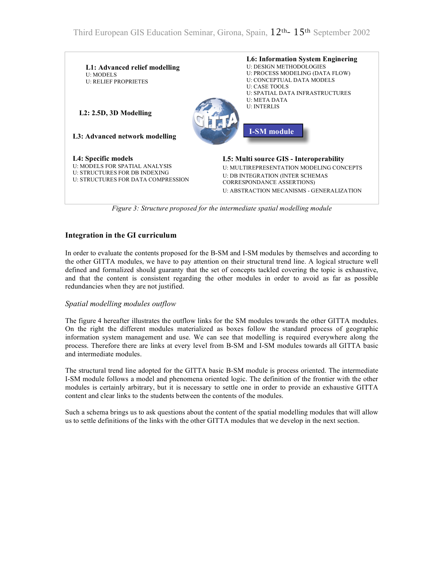

*Figure 3: Structure proposed for the intermediate spatial modelling module*

## **Integration in the GI curriculum**

In order to evaluate the contents proposed for the B-SM and I-SM modules by themselves and according to the other GITTA modules, we have to pay attention on their structural trend line. A logical structure well defined and formalized should guaranty that the set of concepts tackled covering the topic is exhaustive, and that the content is consistent regarding the other modules in order to avoid as far as possible redundancies when they are not justified.

### *Spatial modelling modules outflow*

The figure 4 hereafter illustrates the outflow links for the SM modules towards the other GITTA modules. On the right the different modules materialized as boxes follow the standard process of geographic information system management and use. We can see that modelling is required everywhere along the process. Therefore there are links at every level from B-SM and I-SM modules towards all GITTA basic and intermediate modules.

The structural trend line adopted for the GITTA basic B-SM module is process oriented. The intermediate I-SM module follows a model and phenomena oriented logic. The definition of the frontier with the other modules is certainly arbitrary, but it is necessary to settle one in order to provide an exhaustive GITTA content and clear links to the students between the contents of the modules.

Such a schema brings us to ask questions about the content of the spatial modelling modules that will allow us to settle definitions of the links with the other GITTA modules that we develop in the next section.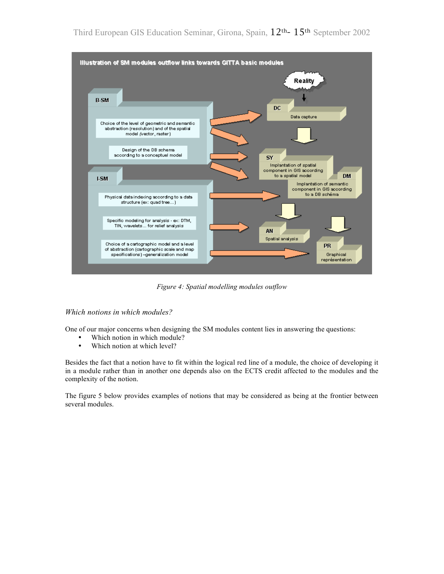

*Figure 4: Spatial modelling modules outflow*

## *Which notions in which modules?*

One of our major concerns when designing the SM modules content lies in answering the questions:

- Which notion in which module?<br>• Which notion at which level?
- Which notion at which level?

Besides the fact that a notion have to fit within the logical red line of a module, the choice of developing it in a module rather than in another one depends also on the ECTS credit affected to the modules and the complexity of the notion.

The figure 5 below provides examples of notions that may be considered as being at the frontier between several modules.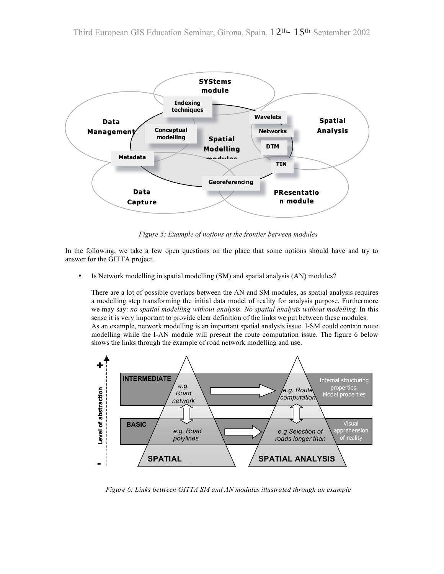

*Figure 5: Example of notions at the frontier between modules*

In the following, we take a few open questions on the place that some notions should have and try to answer for the GITTA project.

Is Network modelling in spatial modelling (SM) and spatial analysis (AN) modules?

There are a lot of possible overlaps between the AN and SM modules, as spatial analysis requires a modelling step transforming the initial data model of reality for analysis purpose. Furthermore we may say: *no spatial modelling without analysis. No spatial analysis without modelling.* In this sense it is very important to provide clear definition of the links we put between these modules. As an example, network modelling is an important spatial analysis issue. I-SM could contain route modelling while the I-AN module will present the route computation issue. The figure 6 below shows the links through the example of road network modelling and use.



*Figure 6: Links between GITTA SM and AN modules illustrated through an example*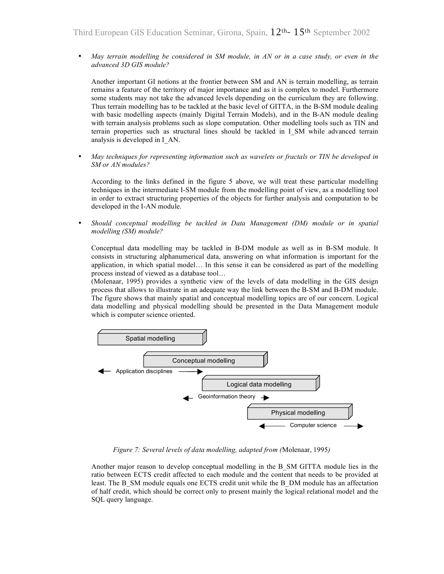• May terrain modelling be considered in SM module, in AN or in a case study, or even in the *advanced 3D GIS module?*

Another important GI notions at the frontier between SM and AN is terrain modelling, as terrain remains a feature of the territory of major importance and as it is complex to model. Furthermore some students may not take the advanced levels depending on the curriculum they are following. Thus terrain modelling has to be tackled at the basic level of GITTA, in the B-SM module dealing with basic modelling aspects (mainly Digital Terrain Models), and in the B-AN module dealing with terrain analysis problems such as slope computation. Other modelling tools such as TIN and terrain properties such as structural lines should be tackled in I\_SM while advanced terrain analysis is developed in I\_AN.

• *May techniques for representing information such as wavelets or fractals or TIN be developed in SM or AN modules?*

According to the links defined in the figure 5 above, we will treat these particular modelling techniques in the intermediate I-SM module from the modelling point of view, as a modelling tool in order to extract structuring properties of the objects for further analysis and computation to be developed in the I-AN module.

• *Should conceptual modelling be tackled in Data Management (DM) module or in spatial modelling (SM) module?*

Conceptual data modelling may be tackled in B-DM module as well as in B-SM module. It consists in structuring alphanumerical data, answering on what information is important for the application, in which spatial model… In this sense it can be considered as part of the modelling process instead of viewed as a database tool…

(Molenaar, 1995) provides a synthetic view of the levels of data modelling in the GIS design process that allows to illustrate in an adequate way the link between the B-SM and B-DM module. The figure shows that mainly spatial and conceptual modelling topics are of our concern. Logical data modelling and physical modelling should be presented in the Data Management module which is computer science oriented.



*Figure 7: Several levels of data modelling, adapted from (*Molenaar, 1995*)*

Another major reason to develop conceptual modelling in the B\_SM GITTA module lies in the ratio between ECTS credit affected to each module and the content that needs to be provided at least. The B\_SM module equals one ECTS credit unit while the B\_DM module has an affectation of half credit, which should be correct only to present mainly the logical relational model and the SQL query language.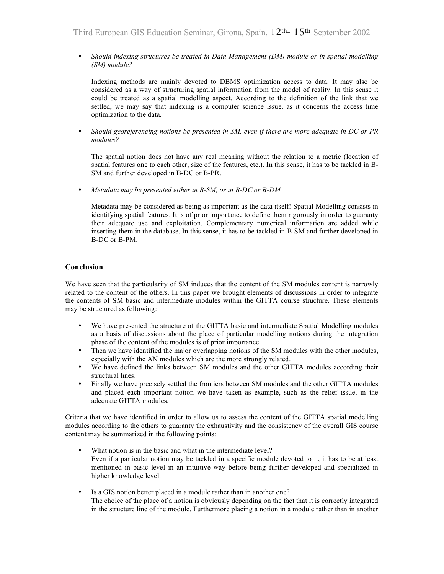• *Should indexing structures be treated in Data Management (DM) module or in spatial modelling (SM) module?*

Indexing methods are mainly devoted to DBMS optimization access to data. It may also be considered as a way of structuring spatial information from the model of reality. In this sense it could be treated as a spatial modelling aspect. According to the definition of the link that we settled, we may say that indexing is a computer science issue, as it concerns the access time optimization to the data.

• *Should georeferencing notions be presented in SM, even if there are more adequate in DC or PR modules?*

The spatial notion does not have any real meaning without the relation to a metric (location of spatial features one to each other, size of the features, etc.). In this sense, it has to be tackled in B-SM and further developed in B-DC or B-PR.

• *Metadata may be presented either in B-SM, or in B-DC or B-DM.*

Metadata may be considered as being as important as the data itself! Spatial Modelling consists in identifying spatial features. It is of prior importance to define them rigorously in order to guaranty their adequate use and exploitation. Complementary numerical information are added while inserting them in the database. In this sense, it has to be tackled in B-SM and further developed in B-DC or B-PM.

## **Conclusion**

We have seen that the particularity of SM induces that the content of the SM modules content is narrowly related to the content of the others. In this paper we brought elements of discussions in order to integrate the contents of SM basic and intermediate modules within the GITTA course structure. These elements may be structured as following:

- We have presented the structure of the GITTA basic and intermediate Spatial Modelling modules as a basis of discussions about the place of particular modelling notions during the integration phase of the content of the modules is of prior importance.
- Then we have identified the major overlapping notions of the SM modules with the other modules, especially with the AN modules which are the more strongly related.
- We have defined the links between SM modules and the other GITTA modules according their structural lines.
- Finally we have precisely settled the frontiers between SM modules and the other GITTA modules and placed each important notion we have taken as example, such as the relief issue, in the adequate GITTA modules.

Criteria that we have identified in order to allow us to assess the content of the GITTA spatial modelling modules according to the others to guaranty the exhaustivity and the consistency of the overall GIS course content may be summarized in the following points:

- What notion is in the basic and what in the intermediate level? Even if a particular notion may be tackled in a specific module devoted to it, it has to be at least mentioned in basic level in an intuitive way before being further developed and specialized in higher knowledge level.
- Is a GIS notion better placed in a module rather than in another one? The choice of the place of a notion is obviously depending on the fact that it is correctly integrated in the structure line of the module. Furthermore placing a notion in a module rather than in another